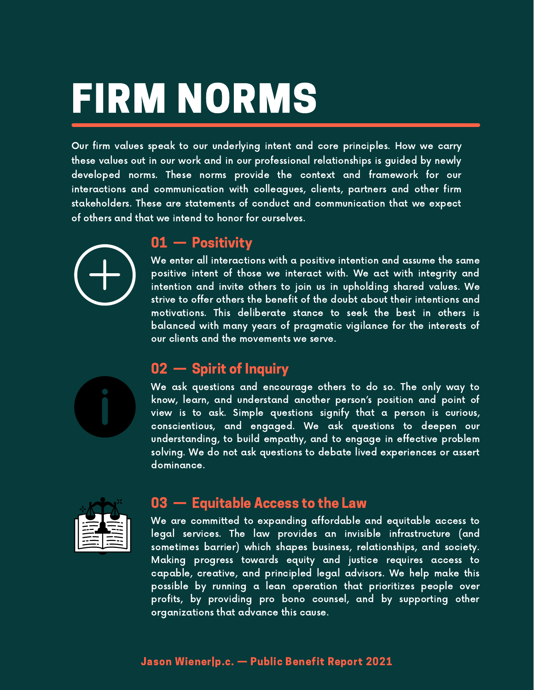# FIRM NORMS

Our firm values speak to our underlying intent and core principles. How we carry these values out in our work and in our professional relationships is guided by newly developed norms. These norms provide the context and framework for our interactions and communication with colleagues, clients, partners and other firm stakeholders. These are statements of conduct and communication that we expect of others and that we intend to honor for ourselves.



#### 01 — Positivity

We enter all interactions with a positive intention and assume the same positive intent of those we interact with. We act with integrity and intention and invite others to join us in upholding shared values. We strive to offer others the benefit of the doubt about their intentions and motivations. This deliberate stance to seek the best in others is balanced with many years of pragmatic vigilance for the interests of our clients and the movements we serve.

## 02 — Spirit of Inquiry

We ask questions and encourage others to do so. The only way to know, learn, and understand another person's position and point of view is to ask. Simple questions signify that a person is curious, conscientious, and engaged. We ask questions to deepen our understanding, to build empathy, and to engage in effective problem solving. We do not ask questions to debate lived experiences or assert dominance.



#### 03 — Equitable Access to the Law

We are committed to expanding affordable and equitable access to legal services. The law provides an invisible infrastructure (and sometimes barrier) which shapes business, relationships, and society. Making progress towards equity and justice requires access to capable, creative, and principled legal advisors. We help make this possible by running a lean operation that prioritizes people over profits, by providing pro bono counsel, and by supporting other organizations that advance this cause.